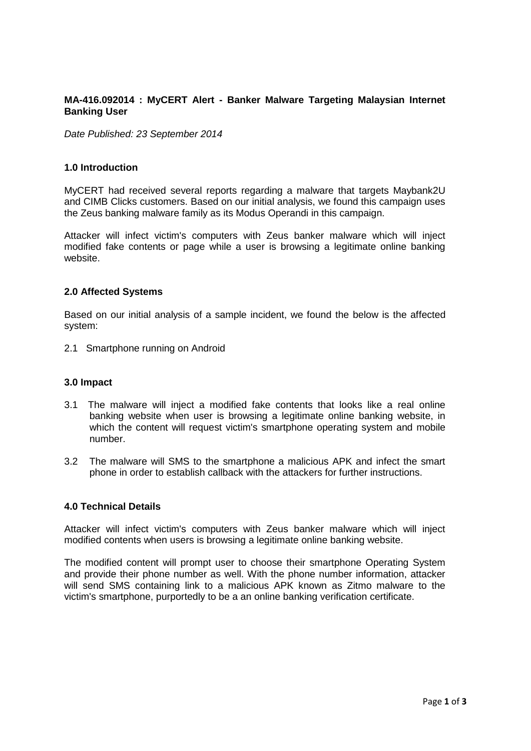# **MA-416.092014 : MyCERT Alert - Banker Malware Targeting Malaysian Internet Banking User**

*Date Published: 23 September 2014*

#### **1.0 Introduction**

MyCERT had received several reports regarding a malware that targets Maybank2U and CIMB Clicks customers. Based on our initial analysis, we found this campaign uses the Zeus banking malware family as its Modus Operandi in this campaign.

Attacker will infect victim's computers with Zeus banker malware which will inject modified fake contents or page while a user is browsing a legitimate online banking website.

#### **2.0 Affected Systems**

Based on our initial analysis of a sample incident, we found the below is the affected system:

2.1 Smartphone running on Android

### **3.0 Impact**

- 3.1 The malware will inject a modified fake contents that looks like a real online banking website when user is browsing a legitimate online banking website, in which the content will request victim's smartphone operating system and mobile number.
- 3.2 The malware will SMS to the smartphone a malicious APK and infect the smart phone in order to establish callback with the attackers for further instructions.

### **4.0 Technical Details**

Attacker will infect victim's computers with Zeus banker malware which will inject modified contents when users is browsing a legitimate online banking website.

The modified content will prompt user to choose their smartphone Operating System and provide their phone number as well. With the phone number information, attacker will send SMS containing link to a malicious APK known as Zitmo malware to the victim's smartphone, purportedly to be a an online banking verification certificate.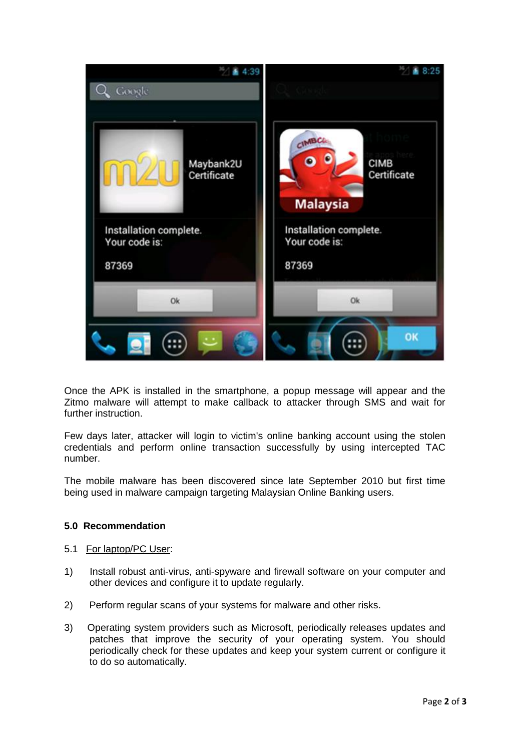

Once the APK is installed in the smartphone, a popup message will appear and the Zitmo malware will attempt to make callback to attacker through SMS and wait for further instruction.

Few days later, attacker will login to victim's online banking account using the stolen credentials and perform online transaction successfully by using intercepted TAC number.

The mobile malware has been discovered since late September 2010 but first time being used in malware campaign targeting Malaysian Online Banking users.

# **5.0 Recommendation**

### 5.1 For laptop/PC User:

- 1) Install robust anti-virus, anti-spyware and firewall software on your computer and other devices and configure it to update regularly.
- 2) Perform regular scans of your systems for malware and other risks.
- 3) Operating system providers such as Microsoft, periodically releases updates and patches that improve the security of your operating system. You should periodically check for these updates and keep your system current or configure it to do so automatically.